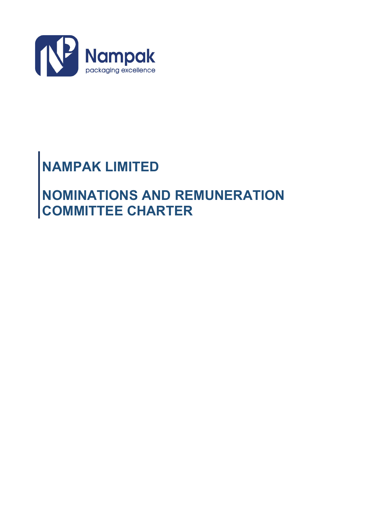

# **NAMPAK LIMITED**

# **NOMINATIONS AND REMUNERATION COMMITTEE CHARTER**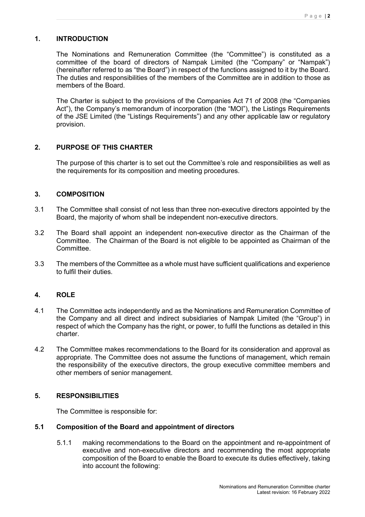# **1. INTRODUCTION**

The Nominations and Remuneration Committee (the "Committee") is constituted as a committee of the board of directors of Nampak Limited (the "Company" or "Nampak") (hereinafter referred to as "the Board") in respect of the functions assigned to it by the Board. The duties and responsibilities of the members of the Committee are in addition to those as members of the Board.

The Charter is subject to the provisions of the Companies Act 71 of 2008 (the "Companies Act"), the Company's memorandum of incorporation (the "MOI"), the Listings Requirements of the JSE Limited (the "Listings Requirements") and any other applicable law or regulatory provision.

# **2. PURPOSE OF THIS CHARTER**

The purpose of this charter is to set out the Committee's role and responsibilities as well as the requirements for its composition and meeting procedures.

#### **3. COMPOSITION**

- 3.1 The Committee shall consist of not less than three non-executive directors appointed by the Board, the majority of whom shall be independent non-executive directors.
- 3.2 The Board shall appoint an independent non-executive director as the Chairman of the Committee. The Chairman of the Board is not eligible to be appointed as Chairman of the **Committee.**
- 3.3 The members of the Committee as a whole must have sufficient qualifications and experience to fulfil their duties.

# **4. ROLE**

- 4.1 The Committee acts independently and as the Nominations and Remuneration Committee of the Company and all direct and indirect subsidiaries of Nampak Limited (the "Group") in respect of which the Company has the right, or power, to fulfil the functions as detailed in this charter.
- 4.2 The Committee makes recommendations to the Board for its consideration and approval as appropriate. The Committee does not assume the functions of management, which remain the responsibility of the executive directors, the group executive committee members and other members of senior management.

#### **5. RESPONSIBILITIES**

The Committee is responsible for:

# **5.1 Composition of the Board and appointment of directors**

5.1.1 making recommendations to the Board on the appointment and re-appointment of executive and non-executive directors and recommending the most appropriate composition of the Board to enable the Board to execute its duties effectively, taking into account the following: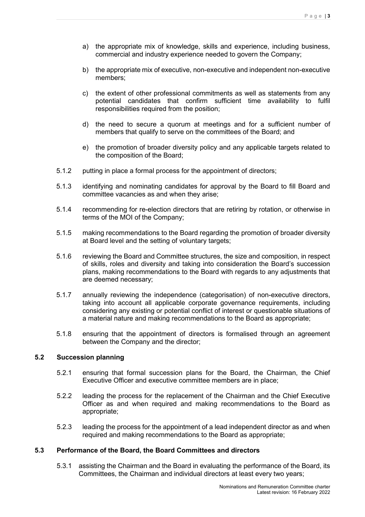- a) the appropriate mix of knowledge, skills and experience, including business, commercial and industry experience needed to govern the Company;
- b) the appropriate mix of executive, non-executive and independent non-executive members;
- c) the extent of other professional commitments as well as statements from any potential candidates that confirm sufficient time availability to fulfil responsibilities required from the position;
- d) the need to secure a quorum at meetings and for a sufficient number of members that qualify to serve on the committees of the Board; and
- e) the promotion of broader diversity policy and any applicable targets related to the composition of the Board;
- 5.1.2 putting in place a formal process for the appointment of directors;
- 5.1.3 identifying and nominating candidates for approval by the Board to fill Board and committee vacancies as and when they arise;
- 5.1.4 recommending for re-election directors that are retiring by rotation, or otherwise in terms of the MOI of the Company;
- 5.1.5 making recommendations to the Board regarding the promotion of broader diversity at Board level and the setting of voluntary targets;
- 5.1.6 reviewing the Board and Committee structures, the size and composition, in respect of skills, roles and diversity and taking into consideration the Board's succession plans, making recommendations to the Board with regards to any adjustments that are deemed necessary;
- 5.1.7 annually reviewing the independence (categorisation) of non-executive directors, taking into account all applicable corporate governance requirements, including considering any existing or potential conflict of interest or questionable situations of a material nature and making recommendations to the Board as appropriate;
- 5.1.8 ensuring that the appointment of directors is formalised through an agreement between the Company and the director;

# **5.2 Succession planning**

- 5.2.1 ensuring that formal succession plans for the Board, the Chairman, the Chief Executive Officer and executive committee members are in place;
- 5.2.2 leading the process for the replacement of the Chairman and the Chief Executive Officer as and when required and making recommendations to the Board as appropriate;
- 5.2.3 leading the process for the appointment of a lead independent director as and when required and making recommendations to the Board as appropriate;

#### **5.3 Performance of the Board, the Board Committees and directors**

5.3.1 assisting the Chairman and the Board in evaluating the performance of the Board, its Committees, the Chairman and individual directors at least every two years;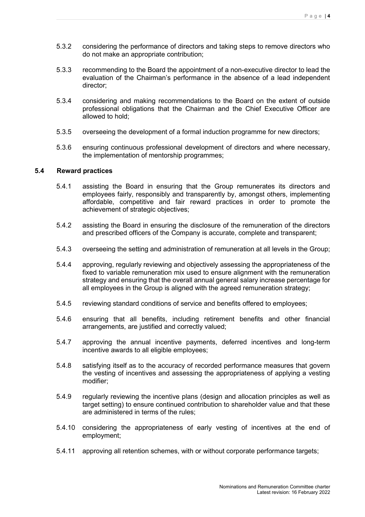- 5.3.2 considering the performance of directors and taking steps to remove directors who do not make an appropriate contribution;
- 5.3.3 recommending to the Board the appointment of a non-executive director to lead the evaluation of the Chairman's performance in the absence of a lead independent director;
- 5.3.4 considering and making recommendations to the Board on the extent of outside professional obligations that the Chairman and the Chief Executive Officer are allowed to hold;
- 5.3.5 overseeing the development of a formal induction programme for new directors;
- 5.3.6 ensuring continuous professional development of directors and where necessary, the implementation of mentorship programmes;

#### **5.4 Reward practices**

- 5.4.1 assisting the Board in ensuring that the Group remunerates its directors and employees fairly, responsibly and transparently by, amongst others, implementing affordable, competitive and fair reward practices in order to promote the achievement of strategic objectives;
- 5.4.2 assisting the Board in ensuring the disclosure of the remuneration of the directors and prescribed officers of the Company is accurate, complete and transparent;
- 5.4.3 overseeing the setting and administration of remuneration at all levels in the Group;
- 5.4.4 approving, regularly reviewing and objectively assessing the appropriateness of the fixed to variable remuneration mix used to ensure alignment with the remuneration strategy and ensuring that the overall annual general salary increase percentage for all employees in the Group is aligned with the agreed remuneration strategy;
- 5.4.5 reviewing standard conditions of service and benefits offered to employees;
- 5.4.6 ensuring that all benefits, including retirement benefits and other financial arrangements, are justified and correctly valued;
- 5.4.7 approving the annual incentive payments, deferred incentives and long-term incentive awards to all eligible employees;
- 5.4.8 satisfying itself as to the accuracy of recorded performance measures that govern the vesting of incentives and assessing the appropriateness of applying a vesting modifier;
- 5.4.9 regularly reviewing the incentive plans (design and allocation principles as well as target setting) to ensure continued contribution to shareholder value and that these are administered in terms of the rules;
- 5.4.10 considering the appropriateness of early vesting of incentives at the end of employment;
- 5.4.11 approving all retention schemes, with or without corporate performance targets;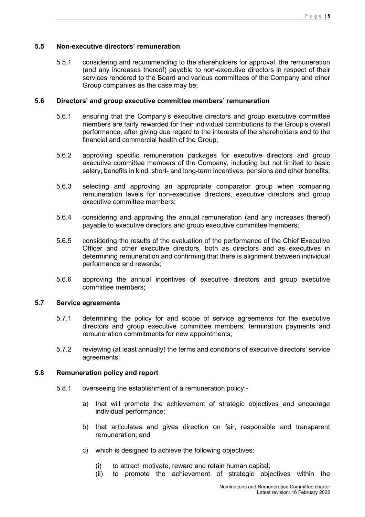#### **5.5 Non-executive directors' remuneration**

5.5.1 considering and recommending to the shareholders for approval, the remuneration (and any increases thereof) payable to non-executive directors in respect of their services rendered to the Board and various committees of the Company and other Group companies as the case may be;

#### **5.6 Directors' and group executive committee members' remuneration**

- 5.6.1 ensuring that the Company's executive directors and group executive committee members are fairly rewarded for their individual contributions to the Group's overall performance, after giving due regard to the interests of the shareholders and to the financial and commercial health of the Group;
- 5.6.2 approving specific remuneration packages for executive directors and group executive committee members of the Company, including but not limited to basic salary, benefits in kind, short- and long-term incentives, pensions and other benefits;
- 5.6.3 selecting and approving an appropriate comparator group when comparing remuneration levels for non-executive directors, executive directors and group executive committee members;
- 5.6.4 considering and approving the annual remuneration (and any increases thereof) payable to executive directors and group executive committee members;
- 5.6.5 considering the results of the evaluation of the performance of the Chief Executive Officer and other executive directors, both as directors and as executives in determining remuneration and confirming that there is alignment between individual performance and rewards;
- 5.6.6 approving the annual incentives of executive directors and group executive committee members;

#### **5.7 Service agreements**

- 5.7.1 determining the policy for and scope of service agreements for the executive directors and group executive committee members, termination payments and remuneration commitments for new appointments;
- 5.7.2 reviewing (at least annually) the terms and conditions of executive directors' service agreements;

#### **5.8 Remuneration policy and report**

- 5.8.1 overseeing the establishment of a remuneration policy:
	- a) that will promote the achievement of strategic objectives and encourage individual performance;
	- b) that articulates and gives direction on fair, responsible and transparent remuneration; and
	- c) which is designed to achieve the following objectives:
		- (i) to attract, motivate, reward and retain human capital;
		- (ii) to promote the achievement of strategic objectives within the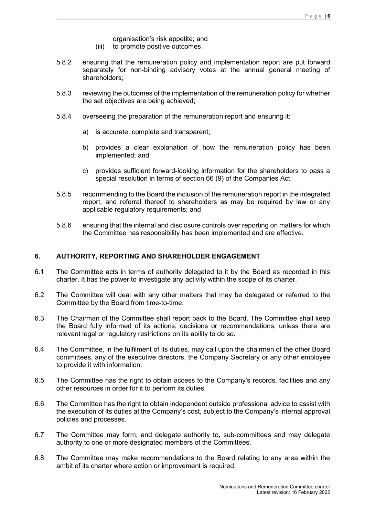organisation's risk appetite; and

- (iii) to promote positive outcomes.
- 5.8.2 ensuring that the remuneration policy and implementation report are put forward separately for non-binding advisory votes at the annual general meeting of shareholders;
- 5.8.3 reviewing the outcomes of the implementation of the remuneration policy for whether the set objectives are being achieved;
- 5.8.4 overseeing the preparation of the remuneration report and ensuring it:
	- a) is accurate, complete and transparent;
	- b) provides a clear explanation of how the remuneration policy has been implemented; and
	- c) provides sufficient forward-looking information for the shareholders to pass a special resolution in terms of section 66 (9) of the Companies Act.
- 5.8.5 recommending to the Board the inclusion of the remuneration report in the integrated report, and referral thereof to shareholders as may be required by law or any applicable regulatory requirements; and
- 5.8.6 ensuring that the internal and disclosure controls over reporting on matters for which the Committee has responsibility has been implemented and are effective.

#### **6. AUTHORITY, REPORTING AND SHAREHOLDER ENGAGEMENT**

- 6.1 The Committee acts in terms of authority delegated to it by the Board as recorded in this charter. It has the power to investigate any activity within the scope of its charter.
- 6.2 The Committee will deal with any other matters that may be delegated or referred to the Committee by the Board from time-to-time.
- 6.3 The Chairman of the Committee shall report back to the Board. The Committee shall keep the Board fully informed of its actions, decisions or recommendations, unless there are relevant legal or regulatory restrictions on its ability to do so.
- 6.4 The Committee, in the fulfilment of its duties, may call upon the chairmen of the other Board committees, any of the executive directors, the Company Secretary or any other employee to provide it with information.
- 6.5 The Committee has the right to obtain access to the Company's records, facilities and any other resources in order for it to perform its duties.
- 6.6 The Committee has the right to obtain independent outside professional advice to assist with the execution of its duties at the Company's cost, subject to the Company's internal approval policies and processes.
- 6.7 The Committee may form, and delegate authority to, sub-committees and may delegate authority to one or more designated members of the Committees.
- 6.8 The Committee may make recommendations to the Board relating to any area within the ambit of its charter where action or improvement is required.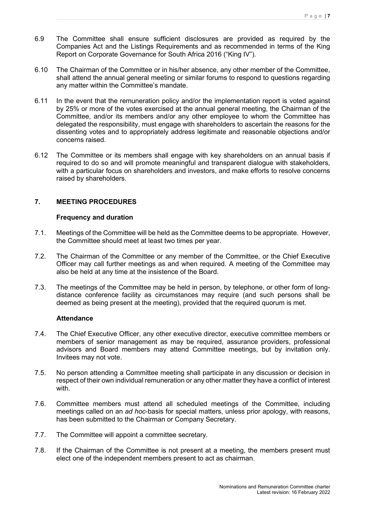- 6.9 The Committee shall ensure sufficient disclosures are provided as required by the Companies Act and the Listings Requirements and as recommended in terms of the King Report on Corporate Governance for South Africa 2016 ("King IV").
- 6.10 The Chairman of the Committee or in his/her absence, any other member of the Committee, shall attend the annual general meeting or similar forums to respond to questions regarding any matter within the Committee's mandate.
- 6.11 In the event that the remuneration policy and/or the implementation report is voted against by 25% or more of the votes exercised at the annual general meeting, the Chairman of the Committee, and/or its members and/or any other employee to whom the Committee has delegated the responsibility, must engage with shareholders to ascertain the reasons for the dissenting votes and to appropriately address legitimate and reasonable objections and/or concerns raised.
- 6.12 The Committee or its members shall engage with key shareholders on an annual basis if required to do so and will promote meaningful and transparent dialogue with stakeholders, with a particular focus on shareholders and investors, and make efforts to resolve concerns raised by shareholders.

# **7. MEETING PROCEDURES**

#### **Frequency and duration**

- 7.1. Meetings of the Committee will be held as the Committee deems to be appropriate. However, the Committee should meet at least two times per year.
- 7.2. The Chairman of the Committee or any member of the Committee, or the Chief Executive Officer may call further meetings as and when required. A meeting of the Committee may also be held at any time at the insistence of the Board.
- 7.3. The meetings of the Committee may be held in person, by telephone, or other form of longdistance conference facility as circumstances may require (and such persons shall be deemed as being present at the meeting), provided that the required quorum is met.

#### **Attendance**

- 7.4. The Chief Executive Officer, any other executive director, executive committee members or members of senior management as may be required, assurance providers, professional advisors and Board members may attend Committee meetings, but by invitation only. Invitees may not vote.
- 7.5. No person attending a Committee meeting shall participate in any discussion or decision in respect of their own individual remuneration or any other matter they have a conflict of interest with
- 7.6. Committee members must attend all scheduled meetings of the Committee, including meetings called on an *ad hoc*-basis for special matters, unless prior apology, with reasons, has been submitted to the Chairman or Company Secretary.
- 7.7. The Committee will appoint a committee secretary.
- 7.8. If the Chairman of the Committee is not present at a meeting, the members present must elect one of the independent members present to act as chairman.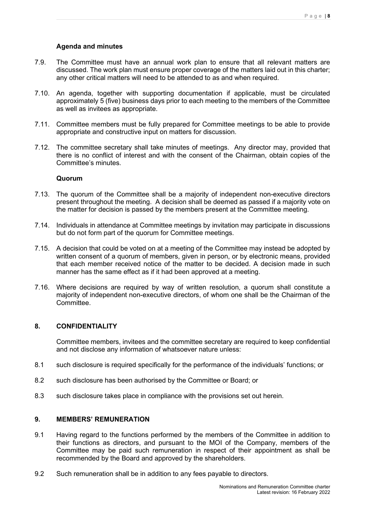#### **Agenda and minutes**

- 7.9. The Committee must have an annual work plan to ensure that all relevant matters are discussed. The work plan must ensure proper coverage of the matters laid out in this charter; any other critical matters will need to be attended to as and when required.
- 7.10. An agenda, together with supporting documentation if applicable, must be circulated approximately 5 (five) business days prior to each meeting to the members of the Committee as well as invitees as appropriate.
- 7.11. Committee members must be fully prepared for Committee meetings to be able to provide appropriate and constructive input on matters for discussion.
- 7.12. The committee secretary shall take minutes of meetings. Any director may, provided that there is no conflict of interest and with the consent of the Chairman, obtain copies of the Committee's minutes.

#### **Quorum**

- 7.13. The quorum of the Committee shall be a majority of independent non-executive directors present throughout the meeting. A decision shall be deemed as passed if a majority vote on the matter for decision is passed by the members present at the Committee meeting.
- 7.14. Individuals in attendance at Committee meetings by invitation may participate in discussions but do not form part of the quorum for Committee meetings.
- 7.15. A decision that could be voted on at a meeting of the Committee may instead be adopted by written consent of a quorum of members, given in person, or by electronic means, provided that each member received notice of the matter to be decided. A decision made in such manner has the same effect as if it had been approved at a meeting.
- 7.16. Where decisions are required by way of written resolution, a quorum shall constitute a majority of independent non-executive directors, of whom one shall be the Chairman of the **Committee**

#### **8. CONFIDENTIALITY**

Committee members, invitees and the committee secretary are required to keep confidential and not disclose any information of whatsoever nature unless:

- 8.1 such disclosure is required specifically for the performance of the individuals' functions; or
- 8.2 such disclosure has been authorised by the Committee or Board; or
- 8.3 such disclosure takes place in compliance with the provisions set out herein.

#### **9. MEMBERS' REMUNERATION**

- 9.1 Having regard to the functions performed by the members of the Committee in addition to their functions as directors, and pursuant to the MOI of the Company, members of the Committee may be paid such remuneration in respect of their appointment as shall be recommended by the Board and approved by the shareholders.
- 9.2 Such remuneration shall be in addition to any fees payable to directors.